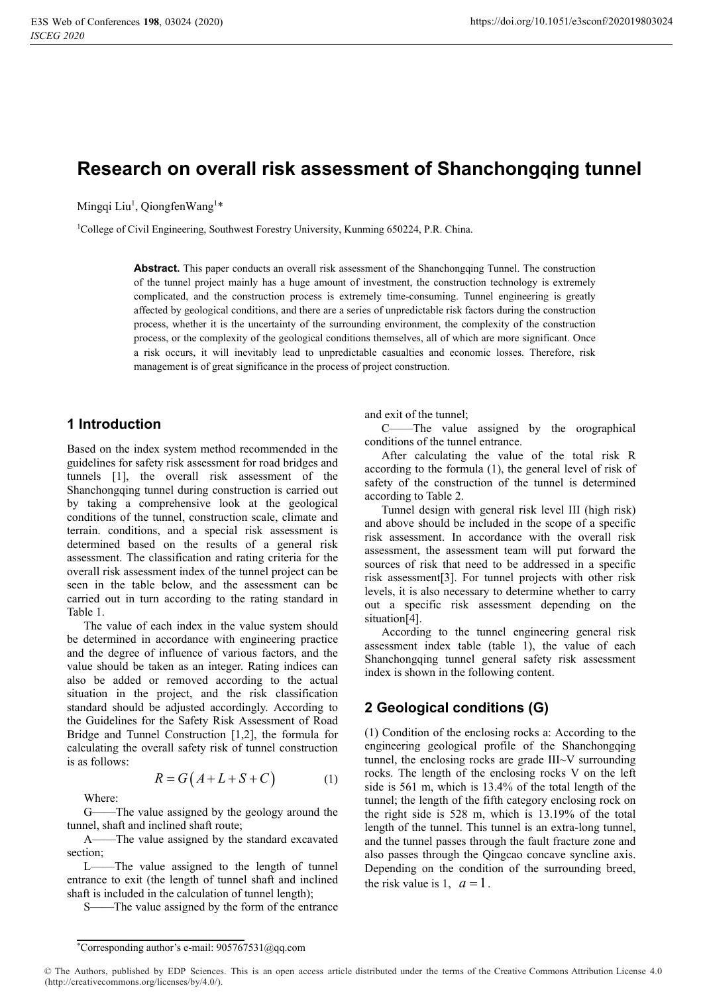# **Research on overall risk assessment of Shanchongqing tunnel**

Mingqi Liu<sup>1</sup>, QiongfenWang<sup>1\*</sup>

<sup>1</sup>College of Civil Engineering, Southwest Forestry University, Kunming 650224, P.R. China.

**Abstract.** This paper conducts an overall risk assessment of the Shanchongqing Tunnel. The construction of the tunnel project mainly has a huge amount of investment, the construction technology is extremely complicated, and the construction process is extremely time-consuming. Tunnel engineering is greatly affected by geological conditions, and there are a series of unpredictable risk factors during the construction process, whether it is the uncertainty of the surrounding environment, the complexity of the construction process, or the complexity of the geological conditions themselves, all of which are more significant. Once a risk occurs, it will inevitably lead to unpredictable casualties and economic losses. Therefore, risk management is of great significance in the process of project construction.

#### **1 Introduction**

Based on the index system method recommended in the guidelines for safety risk assessment for road bridges and tunnels [1], the overall risk assessment of the Shanchongqing tunnel during construction is carried out by taking a comprehensive look at the geological conditions of the tunnel, construction scale, climate and terrain. conditions, and a special risk assessment is determined based on the results of a general risk assessment. The classification and rating criteria for the overall risk assessment index of the tunnel project can be seen in the table below, and the assessment can be carried out in turn according to the rating standard in Table 1.

The value of each index in the value system should be determined in accordance with engineering practice and the degree of influence of various factors, and the value should be taken as an integer. Rating indices can also be added or removed according to the actual situation in the project, and the risk classification standard should be adjusted accordingly. According to the Guidelines for the Safety Risk Assessment of Road Bridge and Tunnel Construction [1,2], the formula for calculating the overall safety risk of tunnel construction is as follows:

$$
R = G(A + L + S + C)
$$
 (1)

Where:

G——The value assigned by the geology around the tunnel, shaft and inclined shaft route;

A——The value assigned by the standard excavated section;

L——The value assigned to the length of tunnel entrance to exit (the length of tunnel shaft and inclined shaft is included in the calculation of tunnel length);

S——The value assigned by the form of the entrance

and exit of the tunnel;

C——The value assigned by the orographical conditions of the tunnel entrance.

After calculating the value of the total risk R according to the formula (1), the general level of risk of safety of the construction of the tunnel is determined according to Table 2.

Tunnel design with general risk level III (high risk) and above should be included in the scope of a specific risk assessment. In accordance with the overall risk assessment, the assessment team will put forward the sources of risk that need to be addressed in a specific risk assessment[3]. For tunnel projects with other risk levels, it is also necessary to determine whether to carry out a specific risk assessment depending on the situation[4].

Аccording to the tunnel engineering general risk assessment index table (table 1), the value of each Shanchongqing tunnel general safety risk assessment index is shown in the following content.

### **2 Geological conditions (G)**

(1) Condition of the enclosing rocks a: According to the engineering geological profile of the Shanchongqing tunnel, the enclosing rocks are grade III~V surrounding rocks. The length of the enclosing rocks V on the left side is 561 m, which is 13.4% of the total length of the tunnel; the length of the fifth category enclosing rock on the right side is 528 m, which is 13.19% of the total length of the tunnel. This tunnel is an extra-long tunnel, and the tunnel passes through the fault fracture zone and also passes through the Qingcao concave syncline axis. Depending on the condition of the surrounding breed, the risk value is 1,  $a = 1$ .

<sup>\*</sup>Corresponding author's e-mail: 905767531@qq.com

<sup>©</sup> The Authors, published by EDP Sciences. This is an open access article distributed under the terms of the Creative Commons Attribution License 4.0 (http://creativecommons.org/licenses/by/4.0/).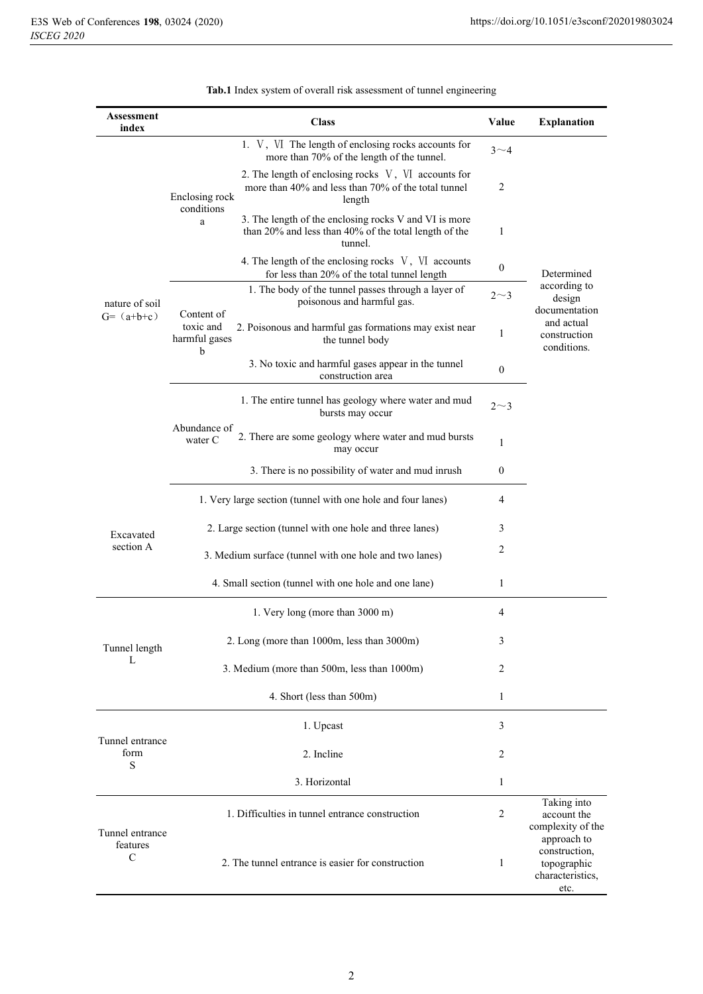| Assessment<br>index                          |                                                             | <b>Class</b>                                                                                                              | Value            | <b>Explanation</b>                                                                                 |
|----------------------------------------------|-------------------------------------------------------------|---------------------------------------------------------------------------------------------------------------------------|------------------|----------------------------------------------------------------------------------------------------|
| nature of soil<br>$G = (a+b+c)$              |                                                             | 1. V, VI The length of enclosing rocks accounts for<br>more than 70% of the length of the tunnel.                         | $3^{\sim}4$      | Determined<br>according to<br>design<br>documentation<br>and actual<br>construction<br>conditions. |
|                                              | Enclosing rock<br>conditions                                | 2. The length of enclosing rocks V, VI accounts for<br>more than 40% and less than 70% of the total tunnel<br>length      | $\overline{c}$   |                                                                                                    |
|                                              | a                                                           | 3. The length of the enclosing rocks V and VI is more<br>than 20% and less than 40% of the total length of the<br>tunnel. | 1                |                                                                                                    |
|                                              |                                                             | 4. The length of the enclosing rocks V, VI accounts<br>for less than 20% of the total tunnel length                       | $\theta$         |                                                                                                    |
|                                              |                                                             | 1. The body of the tunnel passes through a layer of<br>poisonous and harmful gas.                                         | $2 \sim 3$       |                                                                                                    |
|                                              | Content of<br>toxic and<br>harmful gases<br>b               | 2. Poisonous and harmful gas formations may exist near<br>the tunnel body                                                 | 1                |                                                                                                    |
|                                              |                                                             | 3. No toxic and harmful gases appear in the tunnel<br>construction area                                                   | $\boldsymbol{0}$ |                                                                                                    |
|                                              |                                                             | 1. The entire tunnel has geology where water and mud<br>bursts may occur                                                  | $2\sim3$         |                                                                                                    |
|                                              | Abundance of<br>water C                                     | 2. There are some geology where water and mud bursts<br>may occur                                                         | 1                |                                                                                                    |
|                                              | 3. There is no possibility of water and mud inrush          |                                                                                                                           | $\boldsymbol{0}$ |                                                                                                    |
| Excavated<br>section A                       | 1. Very large section (tunnel with one hole and four lanes) |                                                                                                                           |                  |                                                                                                    |
|                                              | 2. Large section (tunnel with one hole and three lanes)     |                                                                                                                           |                  |                                                                                                    |
|                                              | 3. Medium surface (tunnel with one hole and two lanes)      |                                                                                                                           |                  |                                                                                                    |
|                                              | 4. Small section (tunnel with one hole and one lane)        |                                                                                                                           | 1                |                                                                                                    |
| Tunnel length<br>L                           | 1. Very long (more than 3000 m)                             |                                                                                                                           | 4                |                                                                                                    |
|                                              | 2. Long (more than 1000m, less than 3000m)                  |                                                                                                                           | 3                |                                                                                                    |
|                                              | 3. Medium (more than 500m, less than 1000m)                 |                                                                                                                           | 2                |                                                                                                    |
|                                              | 4. Short (less than 500m)                                   |                                                                                                                           | $\mathbf{1}$     |                                                                                                    |
| Tunnel entrance<br>form<br>S                 | 1. Upcast                                                   |                                                                                                                           | 3                |                                                                                                    |
|                                              | 2. Incline                                                  |                                                                                                                           |                  |                                                                                                    |
|                                              | 3. Horizontal                                               |                                                                                                                           | $\mathbf{1}$     |                                                                                                    |
| Tunnel entrance<br>features<br>$\mathcal{C}$ | 1. Difficulties in tunnel entrance construction             |                                                                                                                           | $\overline{2}$   | Taking into<br>account the<br>complexity of the                                                    |
|                                              | 2. The tunnel entrance is easier for construction           |                                                                                                                           | 1                | approach to<br>construction,<br>topographic<br>characteristics,<br>etc.                            |

#### **Tab.1** Index system of overall risk assessment of tunnel engineering